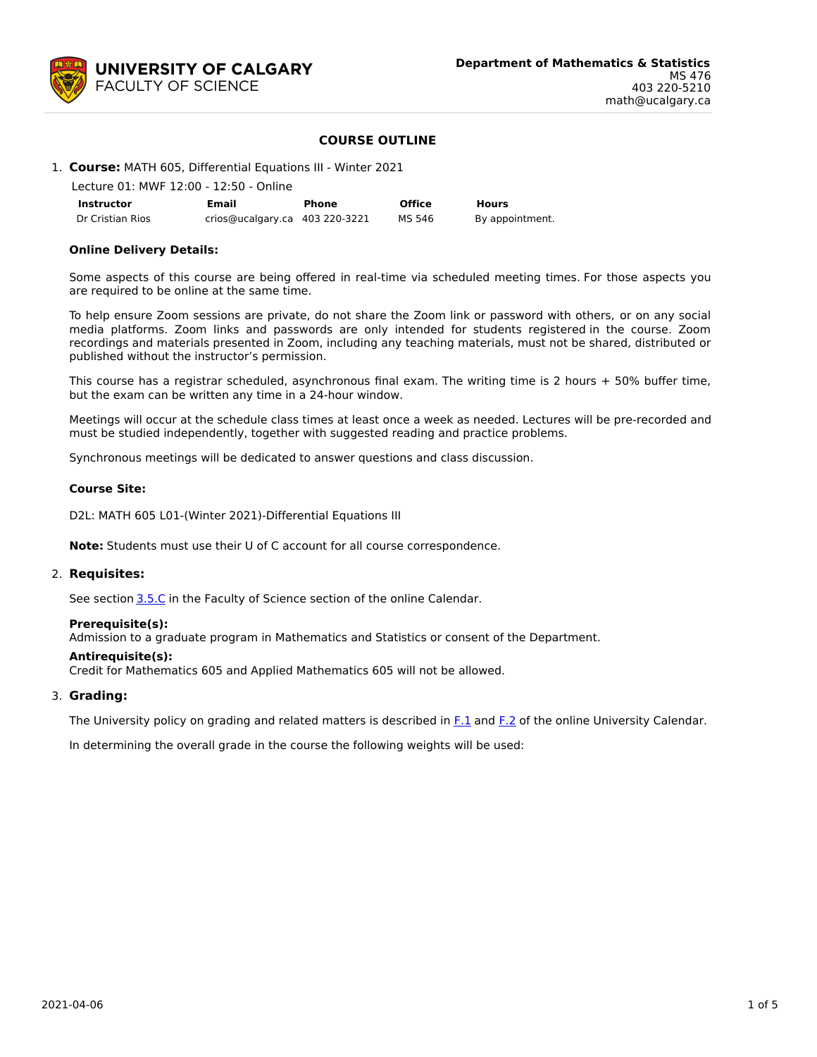

# **COURSE OUTLINE**

# 1. **Course:** MATH 605, Differential Equations III - Winter 2021

|                  | Lecture 01: MWF 12:00 - 12:50 - Online |       |               |                 |
|------------------|----------------------------------------|-------|---------------|-----------------|
| Instructor       | Email                                  | Phone | <b>Office</b> | <b>Hours</b>    |
| Dr Cristian Rios | crios@ucalgary.ca 403 220-3221         |       | MS 546        | By appointment. |

### **Online Delivery Details:**

Some aspects of this course are being offered in real-time via scheduled meeting times. For those aspects you are required to be online at the same time.

To help ensure Zoom sessions are private, do not share the Zoom link or password with others, or on any social media platforms. Zoom links and passwords are only intended for students registered in the course. Zoom recordings and materials presented in Zoom, including any teaching materials, must not be shared, distributed or published without the instructor's permission.

This course has a registrar scheduled, asynchronous final exam. The writing time is 2 hours + 50% buffer time, but the exam can be written any time in a 24-hour window.

Meetings will occur at the schedule class times at least once a week as needed. Lectures will be pre-recorded and must be studied independently, together with suggested reading and practice problems.

Synchronous meetings will be dedicated to answer questions and class discussion.

### **Course Site:**

D2L: MATH 605 L01-(Winter 2021)-Differential Equations III

**Note:** Students must use their U of C account for all course correspondence.

#### 2. **Requisites:**

See section [3.5.C](http://www.ucalgary.ca/pubs/calendar/current/sc-3-5.html) in the Faculty of Science section of the online Calendar.

#### **Prerequisite(s):**

Admission to a graduate program in Mathematics and Statistics or consent of the Department.

#### **Antirequisite(s):**

Credit for Mathematics 605 and Applied Mathematics 605 will not be allowed.

## 3. **Grading:**

The University policy on grading and related matters is described in [F.1](http://www.ucalgary.ca/pubs/calendar/current/f-1.html) and [F.2](http://www.ucalgary.ca/pubs/calendar/current/f-2.html) of the online University Calendar.

In determining the overall grade in the course the following weights will be used: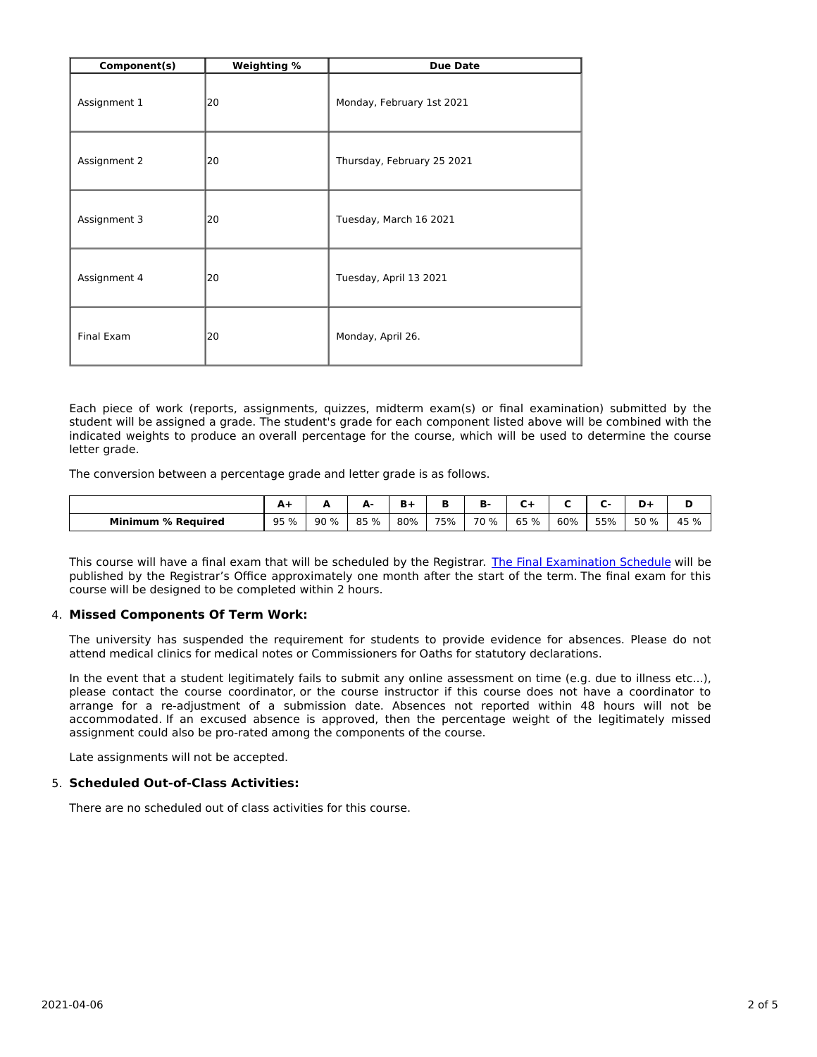| Component(s) | Weighting % | <b>Due Date</b>            |
|--------------|-------------|----------------------------|
| Assignment 1 | 20          | Monday, February 1st 2021  |
| Assignment 2 | 20          | Thursday, February 25 2021 |
| Assignment 3 | 20          | Tuesday, March 16 2021     |
| Assignment 4 | 20          | Tuesday, April 13 2021     |
| Final Exam   | 20          | Monday, April 26.          |

Each piece of work (reports, assignments, quizzes, midterm exam(s) or final examination) submitted by the student will be assigned a grade. The student's grade for each component listed above will be combined with the indicated weights to produce an overall percentage for the course, which will be used to determine the course letter grade.

The conversion between a percentage grade and letter grade is as follows.

|                                | -          |     | Δ.<br>- | -   |     | D    |         |     |     | D-   |      |
|--------------------------------|------------|-----|---------|-----|-----|------|---------|-----|-----|------|------|
| <b>Minimum</b><br>। % Reauired | 95 %<br>-- | 90% | 85 %    | 80% | 75% | 70 % | 65<br>% | 60% | 55% | 50 % | 45 % |

This course will have a final exam that will be scheduled by the Registrar. The Final [Examination](https://www.ucalgary.ca/registrar/exams) Schedule will be published by the Registrar's Office approximately one month after the start of the term. The final exam for this course will be designed to be completed within 2 hours.

## 4. **Missed Components Of Term Work:**

The university has suspended the requirement for students to provide evidence for absences. Please do not attend medical clinics for medical notes or Commissioners for Oaths for statutory declarations.

In the event that a student legitimately fails to submit any online assessment on time (e.g. due to illness etc...), please contact the course coordinator, or the course instructor if this course does not have a coordinator to arrange for a re-adjustment of a submission date. Absences not reported within 48 hours will not be accommodated. If an excused absence is approved, then the percentage weight of the legitimately missed assignment could also be pro-rated among the components of the course.

Late assignments will not be accepted.

### 5. **Scheduled Out-of-Class Activities:**

There are no scheduled out of class activities for this course.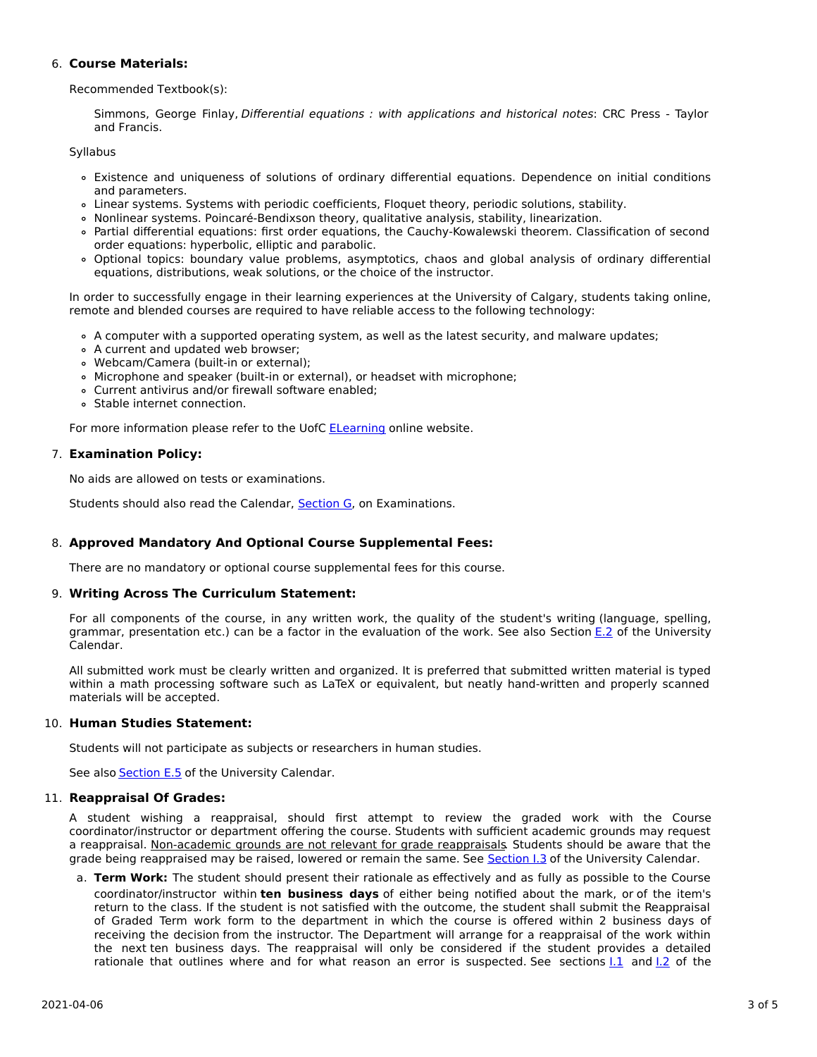# 6. **Course Materials:**

Recommended Textbook(s):

Simmons, George Finlay, Differential equations : with applications and historical notes: CRC Press - Taylor and Francis.

Syllabus

- Existence and uniqueness of solutions of ordinary differential equations. Dependence on initial conditions and parameters.
- Linear systems. Systems with periodic coefficients, Floquet theory, periodic solutions, stability.
- Nonlinear systems. Poincaré-Bendixson theory, qualitative analysis, stability, linearization.
- Partial differential equations: first order equations, the Cauchy-Kowalewski theorem. Classification of second order equations: hyperbolic, elliptic and parabolic.
- Optional topics: boundary value problems, asymptotics, chaos and global analysis of ordinary differential equations, distributions, weak solutions, or the choice of the instructor.

In order to successfully engage in their learning experiences at the University of Calgary, students taking online, remote and blended courses are required to have reliable access to the following technology:

- A computer with a supported operating system, as well as the latest security, and malware updates;
- A current and updated web browser;
- Webcam/Camera (built-in or external);
- o Microphone and speaker (built-in or external), or headset with microphone;
- Current antivirus and/or firewall software enabled;
- Stable internet connection.

For more information please refer to the UofC [ELearning](https://elearn.ucalgary.ca/technology-requirements-for-students) online website.

## 7. **Examination Policy:**

No aids are allowed on tests or examinations.

Students should also read the Calendar, [Section](http://www.ucalgary.ca/pubs/calendar/current/g.html) G, on Examinations.

# 8. **Approved Mandatory And Optional Course Supplemental Fees:**

There are no mandatory or optional course supplemental fees for this course.

## 9. **Writing Across The Curriculum Statement:**

For all components of the course, in any written work, the quality of the student's writing (language, spelling, grammar, presentation etc.) can be a factor in the evaluation of the work. See also Section [E.2](http://www.ucalgary.ca/pubs/calendar/current/e-2.html) of the University Calendar.

All submitted work must be clearly written and organized. It is preferred that submitted written material is typed within a math processing software such as LaTeX or equivalent, but neatly hand-written and properly scanned materials will be accepted.

## 10. **Human Studies Statement:**

Students will not participate as subjects or researchers in human studies.

See also [Section](http://www.ucalgary.ca/pubs/calendar/current/e-5.html) E.5 of the University Calendar.

## 11. **Reappraisal Of Grades:**

A student wishing a reappraisal, should first attempt to review the graded work with the Course coordinator/instructor or department offering the course. Students with sufficient academic grounds may request a reappraisal. Non-academic grounds are not relevant for grade reappraisals. Students should be aware that the grade being reappraised may be raised, lowered or remain the same. See [Section](http://www.ucalgary.ca/pubs/calendar/current/i-3.html) I.3 of the University Calendar.

a. **Term Work:** The student should present their rationale as effectively and as fully as possible to the Course coordinator/instructor within **ten business days** of either being notified about the mark, or of the item's return to the class. If the student is not satisfied with the outcome, the student shall submit the Reappraisal of Graded Term work form to the department in which the course is offered within 2 business days of receiving the decision from the instructor. The Department will arrange for a reappraisal of the work within the next ten business days. The reappraisal will only be considered if the student provides a detailed rationale that outlines where and for what reason an error is suspected. See sections 1.1 and 1.2 of the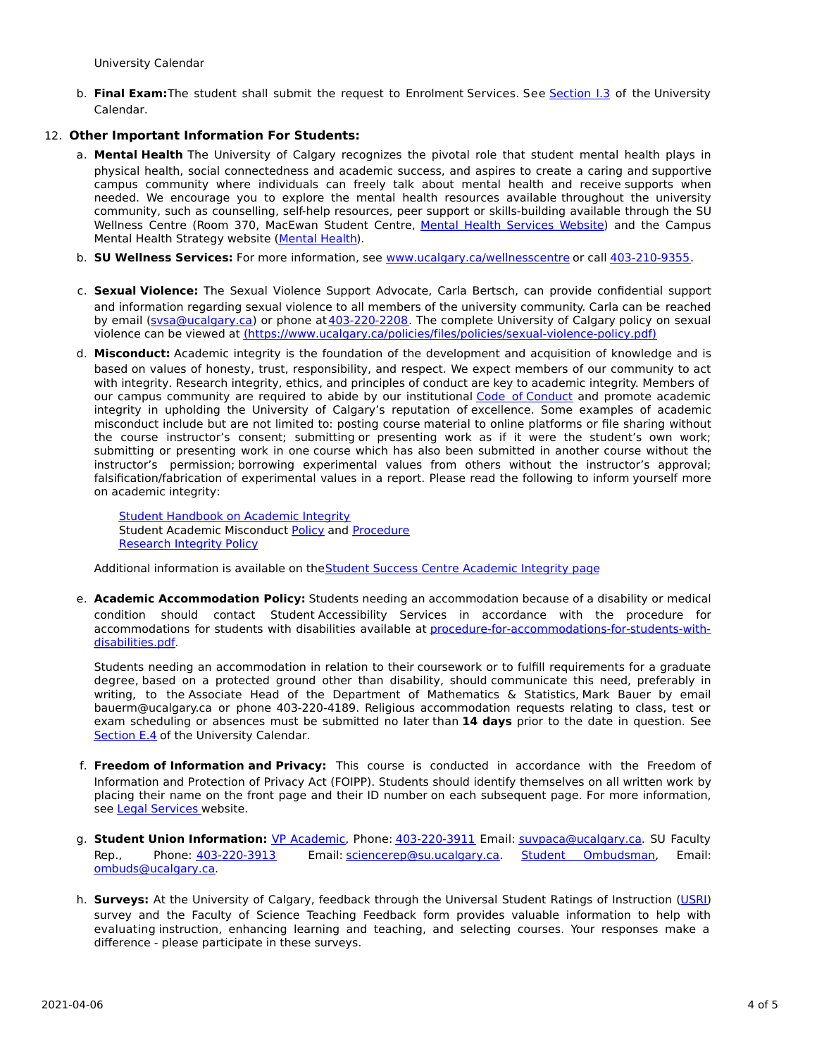University Calendar

b. **Final Exam:**The student shall submit the request to Enrolment Services. See [Section](http://www.ucalgary.ca/pubs/calendar/current/i-3.html) I.3 of the University Calendar.

## 12. **Other Important Information For Students:**

- a. **Mental Health** The University of Calgary recognizes the pivotal role that student mental health plays in physical health, social connectedness and academic success, and aspires to create a caring and supportive campus community where individuals can freely talk about mental health and receive supports when needed. We encourage you to explore the mental health resources available throughout the university community, such as counselling, self-help resources, peer support or skills-building available through the SU Wellness Centre (Room 370, MacEwan Student Centre, Mental Health [Services](https://www.ucalgary.ca/wellnesscentre/services/mental-health-services) Website) and the Campus Mental Health Strategy website [\(Mental](http://www.ucalgary.ca/mentalhealth) Health).
- b. **SU Wellness Services:** For more information, see [www.ucalgary.ca/wellnesscentre](http://www.ucalgary.ca/wellnesscentre) or call [403-210-9355.](tel:4032109355)
- c. **Sexual Violence:** The Sexual Violence Support Advocate, Carla Bertsch, can provide confidential support and information regarding sexual violence to all members of the university community. Carla can be reached by email [\(svsa@ucalgary.ca](mailto:svsa@ucalgary.ca)) or phone at [403-220-2208](tel:4032202208). The complete University of Calgary policy on sexual violence can be viewed at [\(https://www.ucalgary.ca/policies/files/policies/sexual-violence-policy.pdf\)](https://www.ucalgary.ca/policies/files/policies/sexual-violence-policy.pdf)
- d. **Misconduct:** Academic integrity is the foundation of the development and acquisition of knowledge and is based on values of honesty, trust, responsibility, and respect. We expect members of our community to act with integrity. Research integrity, ethics, and principles of conduct are key to academic integrity. Members of our campus community are required to abide by our institutional Code of [Conduct](https://www.ucalgary.ca/policies/files/policies/code-of-conduct.pdf) and promote academic integrity in upholding the University of Calgary's reputation of excellence. Some examples of academic misconduct include but are not limited to: posting course material to online platforms or file sharing without the course instructor's consent; submitting or presenting work as if it were the student's own work; submitting or presenting work in one course which has also been submitted in another course without the instructor's permission; borrowing experimental values from others without the instructor's approval; falsification/fabrication of experimental values in a report. Please read the following to inform yourself more on academic integrity:

Student [Handbook](https://www.ucalgary.ca/live-uc-ucalgary-site/sites/default/files/teams/9/AI-Student-handbook-1.pdf) on Academic Integrity Student Academic Misconduct [Policy](https://ucalgary.ca/policies/files/policies/student-academic-misconduct-policy.pdf) and [Procedure](https://ucalgary.ca/policies/files/policies/student-academic-misconduct-procedure.pdf) [Research](https://www.ucalgary.ca/policies/files/policies/research-integrity.pdf) Integrity Policy

Additional information is available on theStudent Success Centre [Academic](https://ucalgary.ca/student-services/student-success/learning/academic-integrity) Integrity page

e. **Academic Accommodation Policy:** Students needing an accommodation because of a disability or medical condition should contact Student Accessibility Services in accordance with the procedure for accommodations for students with disabilities available at [procedure-for-accommodations-for-students-with](http://www.ucalgary.ca/policies/files/policies/procedure-for-accommodations-for-students-with-disabilities_0.pdf)disabilities.pdf.

Students needing an accommodation in relation to their coursework or to fulfill requirements for a graduate degree, based on a protected ground other than disability, should communicate this need, preferably in writing, to the Associate Head of the Department of Mathematics & Statistics, Mark Bauer by email bauerm@ucalgary.ca or phone 403-220-4189. Religious accommodation requests relating to class, test or exam scheduling or absences must be submitted no later than **14 days** prior to the date in question. See [Section](http://www.ucalgary.ca/pubs/calendar/current/e-4.html) E.4 of the University Calendar.

- f. **Freedom of Information and Privacy:** This course is conducted in accordance with the Freedom of Information and Protection of Privacy Act (FOIPP). Students should identify themselves on all written work by placing their name on the front page and their ID number on each subsequent page. For more information, see Legal [Services](http://www.ucalgary.ca/legalservices/foip) website.
- g. **Student Union Information:** VP [Academic](http://www.su.ucalgary.ca/contact), Phone: [403-220-3911](tel:4032203911) Email: [suvpaca@ucalgary.ca](mailto:suvpaca@ucalgary.ca). SU Faculty Rep., Phone: [403-220-3913](tel:4032203913) Email: [sciencerep@su.ucalgary.ca](mailto:sciencerep@su.ucalgary.ca). Student [Ombudsman](https://www.ucalgary.ca/ombuds/), Email: [ombuds@ucalgary.ca](mailto:%20ombuds@ucalgary.ca).
- h. **Surveys:** At the University of Calgary, feedback through the Universal Student Ratings of Instruction [\(USRI](http://www.ucalgary.ca/usri)) survey and the Faculty of Science Teaching Feedback form provides valuable information to help with evaluating instruction, enhancing learning and teaching, and selecting courses. Your responses make a difference - please participate in these surveys.